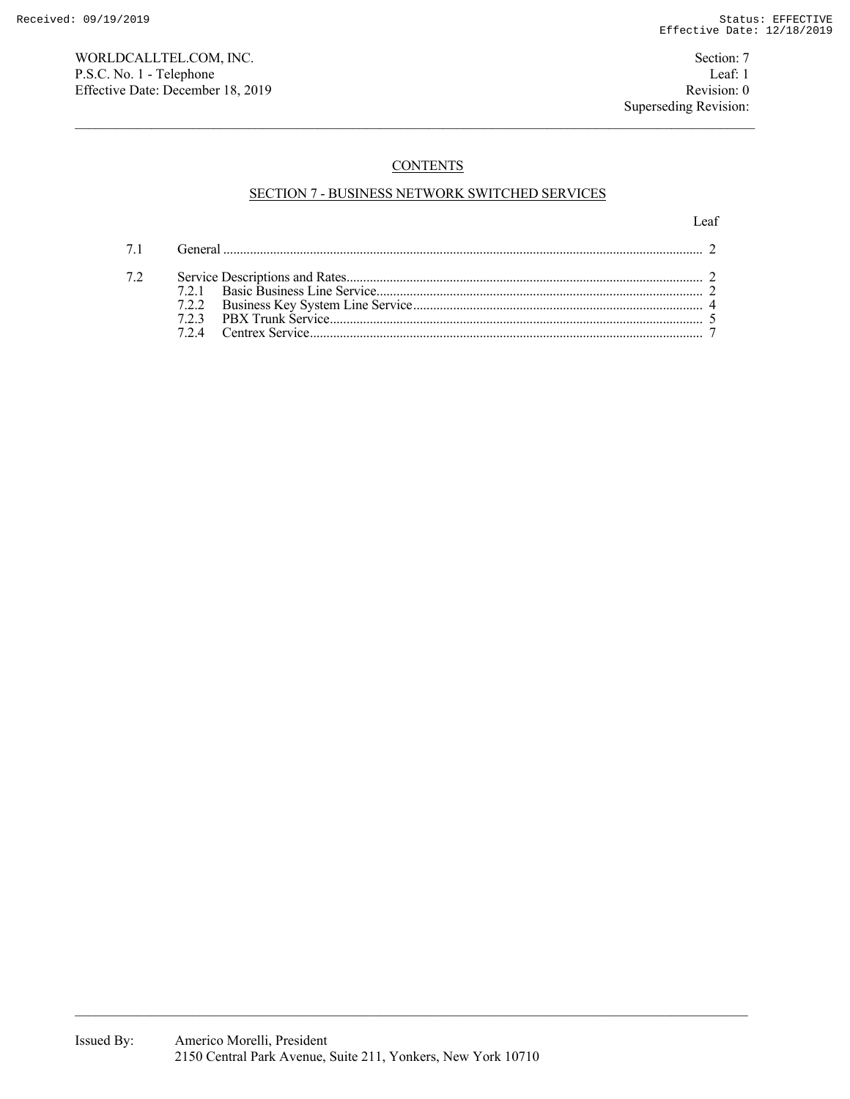WORLDCALLTEL.COM, INC. Section: 7 P.S.C. No. 1 - Telephone Leaf: 1<br>
Effective Date: December 18, 2019 Revision: 0 Effective Date: December 18, 2019

# **CONTENTS**

# SECTION 7 - BUSINESS NETWORK SWITCHED SERVICES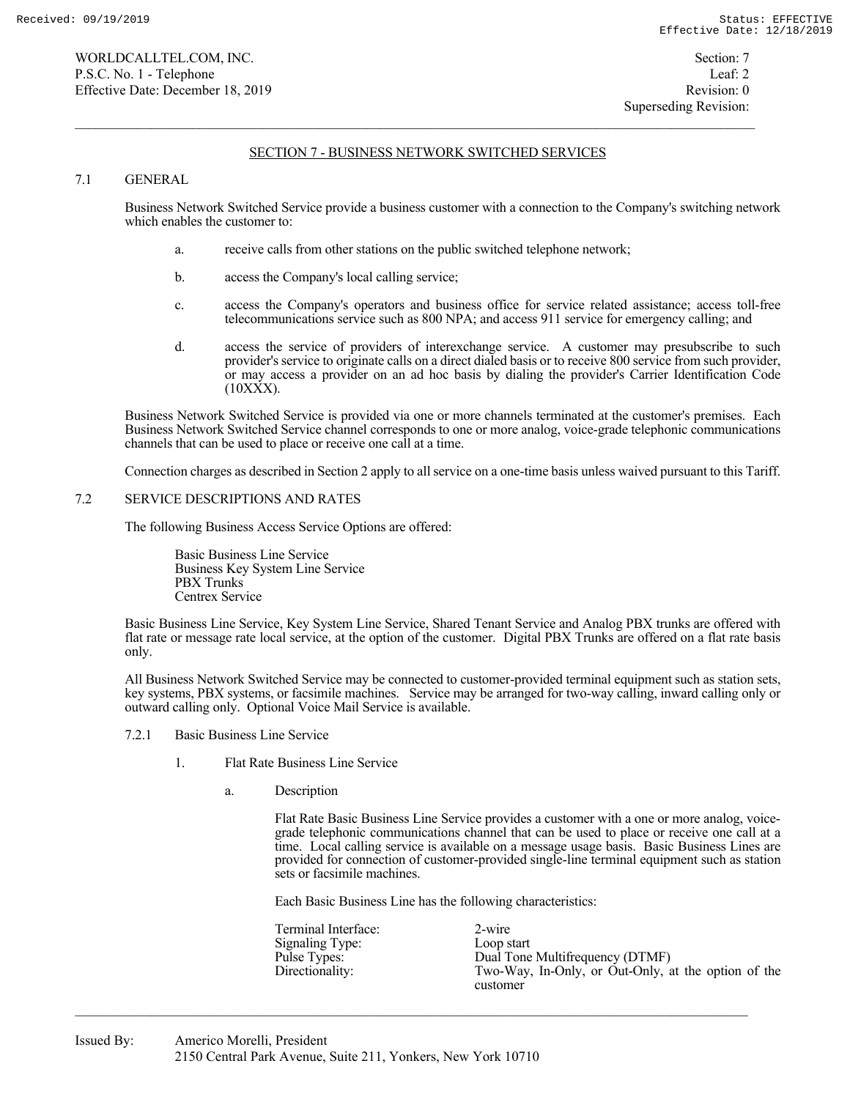### 7.1 GENERAL

 Business Network Switched Service provide a business customer with a connection to the Company's switching network which enables the customer to:

- a. receive calls from other stations on the public switched telephone network;
- b. access the Company's local calling service;
- c. access the Company's operators and business office for service related assistance; access toll-free telecommunications service such as 800 NPA; and access 911 service for emergency calling; and
- d. access the service of providers of interexchange service. A customer may presubscribe to such provider's service to originate calls on a direct dialed basis or to receive 800 service from such provider, or may access a provider on an ad hoc basis by dialing the provider's Carrier Identification Code  $(10XXX)$ .

 Business Network Switched Service is provided via one or more channels terminated at the customer's premises. Each Business Network Switched Service channel corresponds to one or more analog, voice-grade telephonic communications channels that can be used to place or receive one call at a time.

Connection charges as described in Section 2 apply to all service on a one-time basis unless waived pursuant to this Tariff.

### 7.2 SERVICE DESCRIPTIONS AND RATES

The following Business Access Service Options are offered:

 Basic Business Line Service Business Key System Line Service PBX Trunks Centrex Service

 Basic Business Line Service, Key System Line Service, Shared Tenant Service and Analog PBX trunks are offered with flat rate or message rate local service, at the option of the customer. Digital PBX Trunks are offered on a flat rate basis only.

 All Business Network Switched Service may be connected to customer-provided terminal equipment such as station sets, key systems, PBX systems, or facsimile machines. Service may be arranged for two-way calling, inward calling only or outward calling only. Optional Voice Mail Service is available.

- 7.2.1 Basic Business Line Service
	- 1. Flat Rate Business Line Service
		- a. Description

 Flat Rate Basic Business Line Service provides a customer with a one or more analog, voice grade telephonic communications channel that can be used to place or receive one call at a time. Local calling service is available on a message usage basis. Basic Business Lines are provided for connection of customer-provided single-line terminal equipment such as station sets or facsimile machines.

Each Basic Business Line has the following characteristics:

 Terminal Interface: 2-wire Signaling Type: Loop start<br>
Pulse Types: Dual Tone Pulse Types: Dual Tone Multifrequency (DTMF)<br>Directionality: Two-Way, In-Only, or Out-Only, a Two-Way, In-Only, or Out-Only, at the option of the customer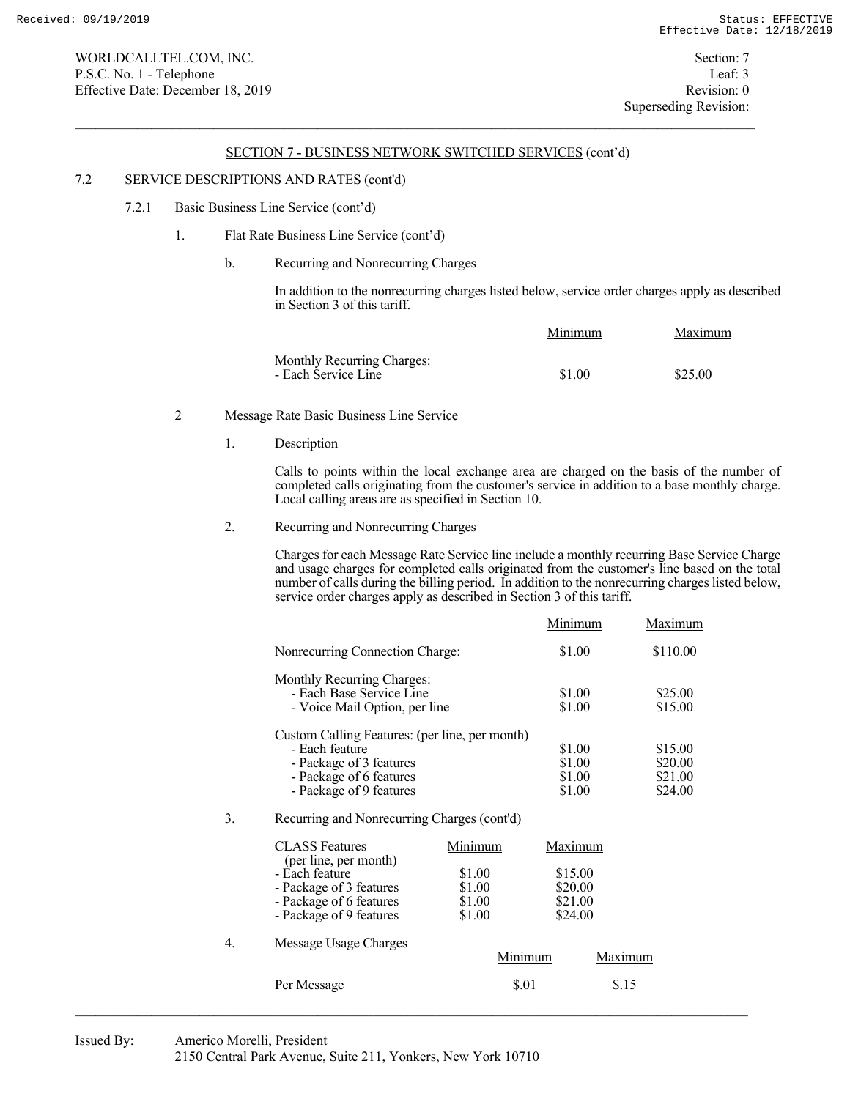## 7.2 SERVICE DESCRIPTIONS AND RATES (cont'd)

### 7.2.1 Basic Business Line Service (cont'd)

## 1. Flat Rate Business Line Service (cont'd)

## b. Recurring and Nonrecurring Charges

 In addition to the nonrecurring charges listed below, service order charges apply as described in Section 3 of this tariff.

|                                                   | Minimum | Maximum |
|---------------------------------------------------|---------|---------|
| Monthly Recurring Charges:<br>- Each Service Line |         |         |
|                                                   | \$1.00  | \$25.00 |

## 2 Message Rate Basic Business Line Service

1. Description

 Calls to points within the local exchange area are charged on the basis of the number of completed calls originating from the customer's service in addition to a base monthly charge. Local calling areas are as specified in Section 10.

2. Recurring and Nonrecurring Charges

 Charges for each Message Rate Service line include a monthly recurring Base Service Charge and usage charges for completed calls originated from the customer's line based on the total number of calls during the billing period. In addition to the nonrecurring charges listed below, service order charges apply as described in Section 3 of this tariff.

|                                                | Minimum | Maximum  |
|------------------------------------------------|---------|----------|
| Nonrecurring Connection Charge:                | \$1.00  | \$110.00 |
| Monthly Recurring Charges:                     |         |          |
| - Each Base Service Line                       | \$1.00  | \$25.00  |
| - Voice Mail Option, per line                  | \$1.00  | \$15.00  |
| Custom Calling Features: (per line, per month) |         |          |
| - Each feature                                 | \$1.00  | \$15.00  |
| - Package of 3 features                        | \$1.00  | \$20.00  |
| - Package of 6 features                        | \$1.00  | \$21.00  |
| - Package of 9 features                        | \$1.00  | \$24.00  |
| 1.3.7<br>$\sim$ 1 $\sim$ 1 $\sim$              |         |          |

# 3. Recurring and Nonrecurring Charges (cont'd)

|    | <b>CLASS</b> Features<br>(per line, per month)                                                  | Minimum                              | Maximum                                  |
|----|-------------------------------------------------------------------------------------------------|--------------------------------------|------------------------------------------|
|    | - Each feature<br>- Package of 3 features<br>- Package of 6 features<br>- Package of 9 features | \$1.00<br>\$1.00<br>\$1.00<br>\$1.00 | \$15.00<br>\$20.00<br>\$21.00<br>\$24.00 |
| 4. | Message Usage Charges                                                                           | Minimum                              | Maximum                                  |
|    | Per Message                                                                                     | \$.01                                | \$.15                                    |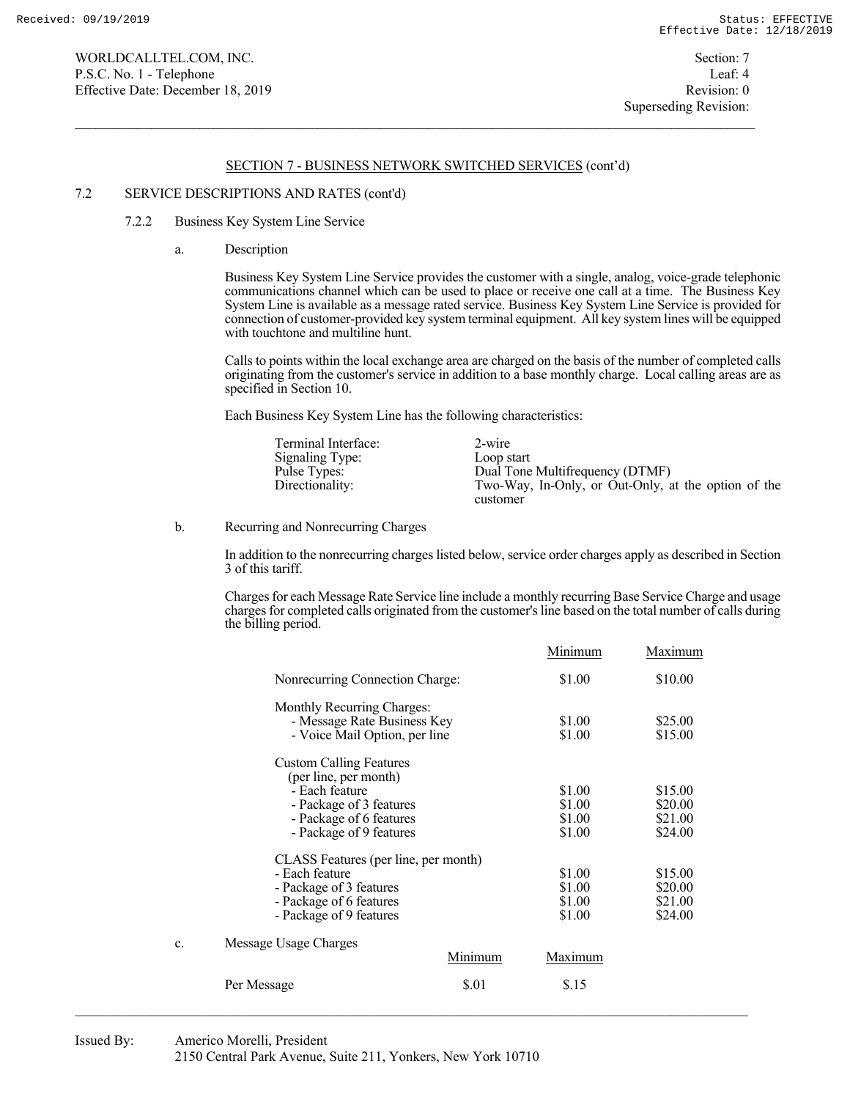WORLDCALLTEL.COM, INC. Section: 7 P.S.C. No. 1 - Telephone Leaf: 4 Effective Date: December 18, 2019 Revision: 0

### SECTION 7 - BUSINESS NETWORK SWITCHED SERVICES (cont'd)

#### 7.2 SERVICE DESCRIPTIONS AND RATES (cont'd)

## 7.2.2 Business Key System Line Service

a. Description

 Business Key System Line Service provides the customer with a single, analog, voice-grade telephonic communications channel which can be used to place or receive one call at a time. The Business Key System Line is available as a message rated service. Business Key System Line Service is provided for connection of customer-provided key system terminal equipment. All key system lines will be equipped with touchtone and multiline hunt.

 Calls to points within the local exchange area are charged on the basis of the number of completed calls originating from the customer's service in addition to a base monthly charge. Local calling areas are as specified in Section 10.

Each Business Key System Line has the following characteristics:

| Terminal Interface:<br>Signaling Type:<br>Pulse Types:<br>Directionality: | 2-wire<br>Loop start<br>Dual Tone Multifrequency (DTMF)<br>Two-Way, In-Only, or Out-Only, at the option of the |
|---------------------------------------------------------------------------|----------------------------------------------------------------------------------------------------------------|
|                                                                           | customer                                                                                                       |

b. Recurring and Nonrecurring Charges

 In addition to the nonrecurring charges listed below, service order charges apply as described in Section 3 of this tariff.

 Charges for each Message Rate Service line include a monthly recurring Base Service Charge and usage charges for completed calls originated from the customer's line based on the total number of calls during the billing period.

|    |                                                                                            |         | Minimum          | Maximum            |
|----|--------------------------------------------------------------------------------------------|---------|------------------|--------------------|
|    | Nonrecurring Connection Charge:                                                            |         | \$1.00           | \$10.00            |
|    | Monthly Recurring Charges:<br>- Message Rate Business Key<br>- Voice Mail Option, per line |         | \$1.00<br>\$1.00 | \$25.00<br>\$15.00 |
|    | <b>Custom Calling Features</b><br>(per line, per month)                                    |         |                  |                    |
|    | - Each feature                                                                             |         | \$1.00           | \$15.00            |
|    | - Package of 3 features                                                                    |         | \$1.00           | \$20.00            |
|    | - Package of 6 features                                                                    |         | \$1.00           | \$21.00            |
|    | - Package of 9 features                                                                    |         | \$1.00           | \$24.00            |
|    | CLASS Features (per line, per month)                                                       |         |                  |                    |
|    | - Each feature                                                                             |         | \$1.00           | \$15.00            |
|    | - Package of 3 features                                                                    |         | \$1.00           | \$20.00            |
|    | - Package of 6 features                                                                    |         | \$1.00           | \$21.00            |
|    | - Package of 9 features                                                                    |         | \$1.00           | \$24.00            |
| c. | Message Usage Charges                                                                      |         |                  |                    |
|    |                                                                                            | Minimum | Maximum          |                    |
|    | Per Message                                                                                | \$.01   | \$.15            |                    |
|    |                                                                                            |         |                  |                    |

### Issued By: Americo Morelli, President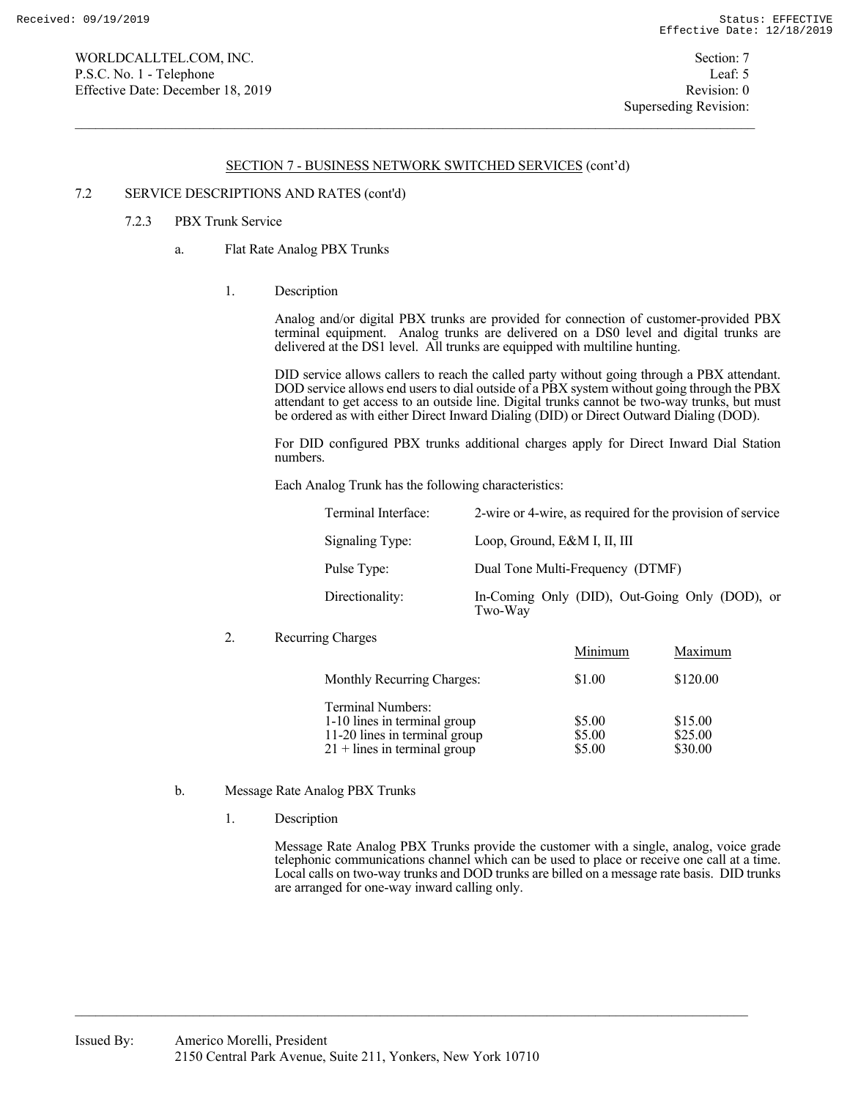WORLDCALLTEL.COM, INC. Section: 7 P.S.C. No. 1 - Telephone Leaf: 5 Effective Date: December 18, 2019 Revision: 0

### SECTION 7 - BUSINESS NETWORK SWITCHED SERVICES (cont'd)

### 7.2 SERVICE DESCRIPTIONS AND RATES (cont'd)

# 7.2.3 PBX Trunk Service

- a. Flat Rate Analog PBX Trunks
	- 1. Description

 Analog and/or digital PBX trunks are provided for connection of customer-provided PBX terminal equipment. Analog trunks are delivered on a DS0 level and digital trunks are delivered at the DS1 level. All trunks are equipped with multiline hunting.

 DID service allows callers to reach the called party without going through a PBX attendant. DOD service allows end users to dial outside of a  $\overrightarrow{PBX}$  system without going through the PBX attendant to get access to an outside line. Digital trunks cannot be two-way trunks, but must be ordered as with either Direct Inward Dialing (DID) or Direct Outward Dialing (DOD).

 For DID configured PBX trunks additional charges apply for Direct Inward Dial Station numbers.

Each Analog Trunk has the following characteristics:

| Terminal Interface: | 2-wire or 4-wire, as required for the provision of service |
|---------------------|------------------------------------------------------------|
| Signaling Type:     | Loop, Ground, E&M I, II, III                               |
| Pulse Type:         | Dual Tone Multi-Frequency (DTMF)                           |
| Directionality:     | In-Coming Only (DID), Out-Going Only (DOD), or<br>Two-Way  |

### 2. Recurring Charges

|                                | Minimum | Maximum  |
|--------------------------------|---------|----------|
| Monthly Recurring Charges:     | \$1.00  | \$120.00 |
| Terminal Numbers:              |         |          |
| 1-10 lines in terminal group   | \$5.00  | \$15.00  |
| 11-20 lines in terminal group  | \$5.00  | \$25.00  |
| $21 +$ lines in terminal group | \$5.00  | \$30.00  |

### b. Message Rate Analog PBX Trunks

1. Description

 Message Rate Analog PBX Trunks provide the customer with a single, analog, voice grade telephonic communications channel which can be used to place or receive one call at a time. Local calls on two-way trunks and DOD trunks are billed on a message rate basis. DID trunks are arranged for one-way inward calling only.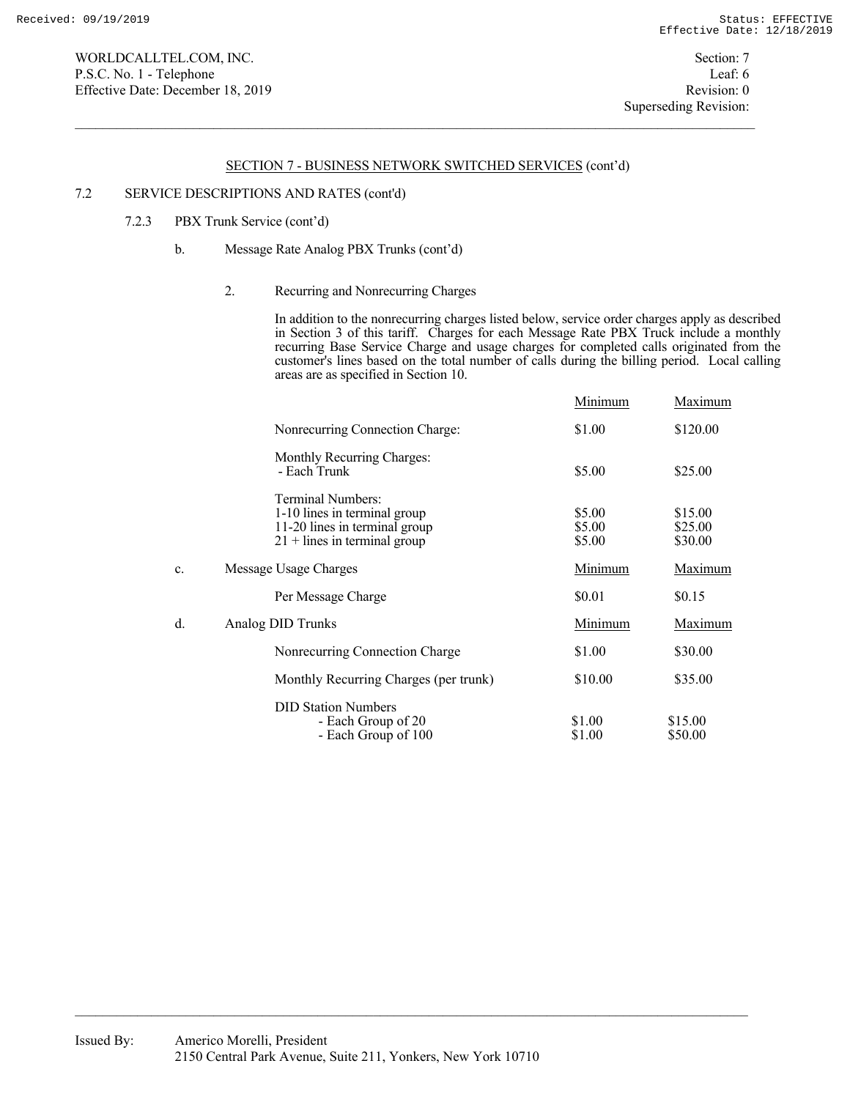### 7.2 SERVICE DESCRIPTIONS AND RATES (cont'd)

# 7.2.3 PBX Trunk Service (cont'd)

## b. Message Rate Analog PBX Trunks (cont'd)

## 2. Recurring and Nonrecurring Charges

 In addition to the nonrecurring charges listed below, service order charges apply as described in Section 3 of this tariff. Charges for each Message Rate PBX Truck include a monthly recurring Base Service Charge and usage charges for completed calls originated from the customer's lines based on the total number of calls during the billing period. Local calling areas are as specified in Section 10.

|                |                                                                                                                      | Minimum                    | Maximum                       |
|----------------|----------------------------------------------------------------------------------------------------------------------|----------------------------|-------------------------------|
|                | Nonrecurring Connection Charge:                                                                                      | \$1.00                     | \$120.00                      |
|                | Monthly Recurring Charges:<br>- Each Trunk                                                                           | \$5.00                     | \$25.00                       |
|                | Terminal Numbers:<br>1-10 lines in terminal group<br>11-20 lines in terminal group<br>$21 +$ lines in terminal group | \$5.00<br>\$5.00<br>\$5.00 | \$15.00<br>\$25.00<br>\$30.00 |
| $\mathbf{c}$ . | Message Usage Charges                                                                                                | Minimum                    | Maximum                       |
|                | Per Message Charge                                                                                                   | \$0.01                     | \$0.15                        |
| d.             | Analog DID Trunks                                                                                                    | Minimum                    | Maximum                       |
|                | Nonrecurring Connection Charge                                                                                       | \$1.00                     | \$30.00                       |
|                | Monthly Recurring Charges (per trunk)                                                                                | \$10.00                    | \$35.00                       |
|                | <b>DID Station Numbers</b><br>- Each Group of 20<br>- Each Group of 100                                              | \$1.00<br>\$1.00           | \$15.00<br>\$50.00            |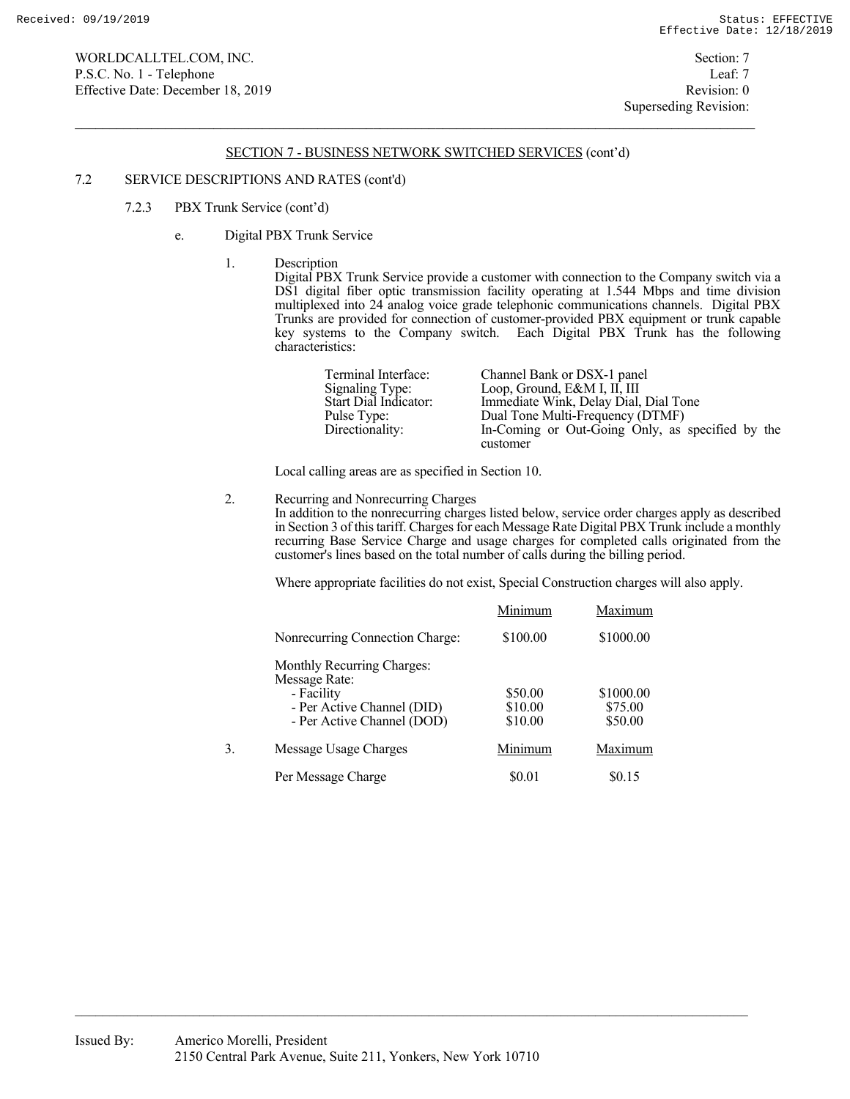### 7.2 SERVICE DESCRIPTIONS AND RATES (cont'd)

- 7.2.3 PBX Trunk Service (cont'd)
	- e. Digital PBX Trunk Service
		- 1. Description

 Digital PBX Trunk Service provide a customer with connection to the Company switch via a DS1 digital fiber optic transmission facility operating at 1.544 Mbps and time division multiplexed into 24 analog voice grade telephonic communications channels. Digital PBX Trunks are provided for connection of customer-provided PBX equipment or trunk capable key systems to the Company switch. Each Digital PBX Trunk has the following characteristics:

| Terminal Interface:   | Channel Bank or DSX-1 panel                      |
|-----------------------|--------------------------------------------------|
| Signaling Type:       | Loop, Ground, E&M I, II, III                     |
| Start Dial Indicator: | Immediate Wink, Delay Dial, Dial Tone            |
| Pulse Type:           | Dual Tone Multi-Frequency (DTMF)                 |
| Directionality:       | In-Coming or Out-Going Only, as specified by the |
|                       | customer                                         |

Local calling areas are as specified in Section 10.

2. Recurring and Nonrecurring Charges

 In addition to the nonrecurring charges listed below, service order charges apply as described in Section 3 of this tariff. Charges for each Message Rate Digital PBX Trunk include a monthly recurring Base Service Charge and usage charges for completed calls originated from the customer's lines based on the total number of calls during the billing period.

Where appropriate facilities do not exist, Special Construction charges will also apply.

|    |                                             | Minimum  | Maximum   |
|----|---------------------------------------------|----------|-----------|
|    | Nonrecurring Connection Charge:             | \$100.00 | \$1000.00 |
|    | Monthly Recurring Charges:<br>Message Rate: |          |           |
|    | - Facility                                  | \$50.00  | \$1000.00 |
|    | - Per Active Channel (DID)                  | \$10.00  | \$75.00   |
|    | - Per Active Channel (DOD)                  | \$10.00  | \$50.00   |
| 3. | Message Usage Charges                       | Minimum  | Maximum   |
|    | Per Message Charge                          | \$0.01   | \$0.15    |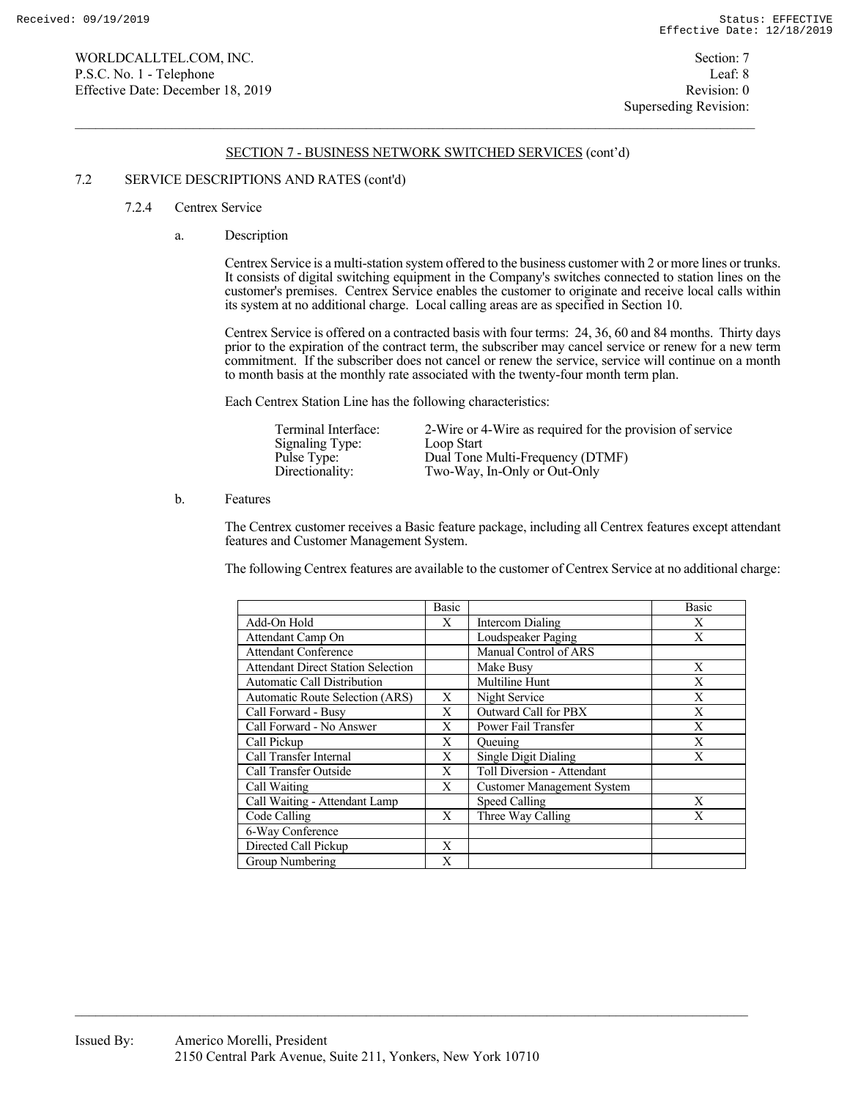### 7.2 SERVICE DESCRIPTIONS AND RATES (cont'd)

### 7.2.4 Centrex Service

a. Description

 Centrex Service is a multi-station system offered to the business customer with 2 or more lines or trunks. It consists of digital switching equipment in the Company's switches connected to station lines on the customer's premises. Centrex Service enables the customer to originate and receive local calls within its system at no additional charge. Local calling areas are as specified in Section 10.

 Centrex Service is offered on a contracted basis with four terms: 24, 36, 60 and 84 months. Thirty days prior to the expiration of the contract term, the subscriber may cancel service or renew for a new term commitment. If the subscriber does not cancel or renew the service, service will continue on a month to month basis at the monthly rate associated with the twenty-four month term plan.

Each Centrex Station Line has the following characteristics:

| Terminal Interface:<br>Signaling Type:<br>Pulse Type: | 2-Wire or 4-Wire as required for the provision of service<br>Loop Start<br>Dual Tone Multi-Frequency (DTMF) |
|-------------------------------------------------------|-------------------------------------------------------------------------------------------------------------|
| Directionality:                                       | Two-Way, In-Only or Out-Only                                                                                |

b. Features

 The Centrex customer receives a Basic feature package, including all Centrex features except attendant features and Customer Management System.

The following Centrex features are available to the customer of Centrex Service at no additional charge:

|                                           | <b>Basic</b> |                                   | <b>Basic</b> |
|-------------------------------------------|--------------|-----------------------------------|--------------|
| Add-On Hold                               | X            | Intercom Dialing                  | Χ            |
| Attendant Camp On                         |              | Loudspeaker Paging                | X            |
| <b>Attendant Conference</b>               |              | Manual Control of ARS             |              |
| <b>Attendant Direct Station Selection</b> |              | Make Busy                         | X            |
| <b>Automatic Call Distribution</b>        |              | Multiline Hunt                    | X            |
| <b>Automatic Route Selection (ARS)</b>    | X            | Night Service                     | X            |
| Call Forward - Busy                       | X            | Outward Call for PBX              | X            |
| Call Forward - No Answer                  | X            | Power Fail Transfer               | X            |
| Call Pickup                               | X            | Queuing                           | X            |
| Call Transfer Internal                    | X            | Single Digit Dialing              | X            |
| Call Transfer Outside                     | X            | Toll Diversion - Attendant        |              |
| Call Waiting                              | X            | <b>Customer Management System</b> |              |
| Call Waiting - Attendant Lamp             |              | Speed Calling                     | X            |
| Code Calling                              | X            | Three Way Calling                 | X            |
| 6-Way Conference                          |              |                                   |              |
| Directed Call Pickup                      | X            |                                   |              |
| Group Numbering                           | X            |                                   |              |